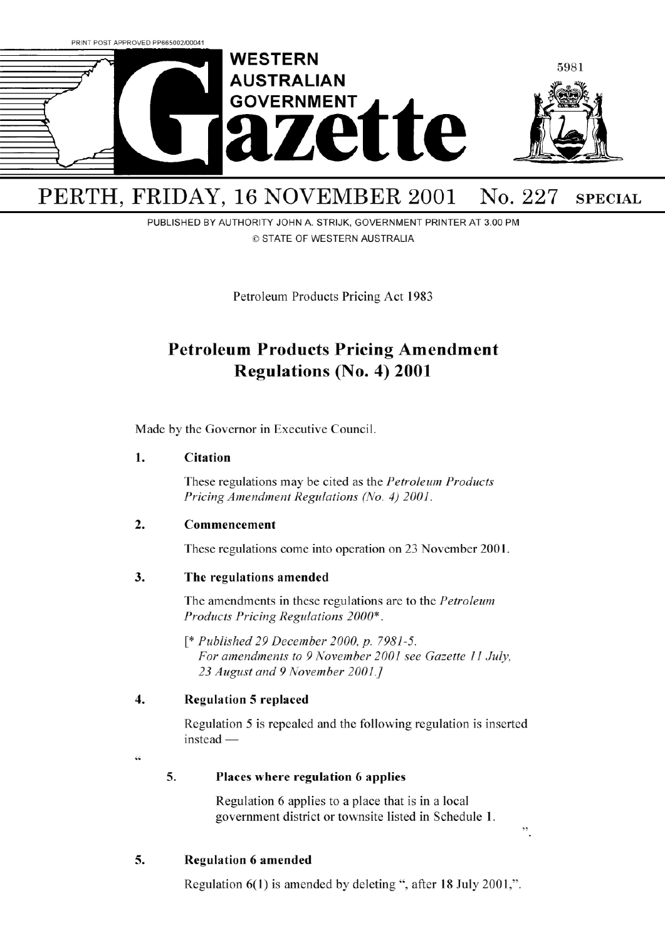

## PUBLISHED BY AUTHORITY JOHN A. STRIJK, GOVERNMENT PRINTER AT 3.00 PM © STATE OF WESTERN AUSTRALIA

Petroleum Products Pricing Act 1983

# **Petroleum Products Pricing Amendment Regulations (No. 4) 2001**

Made by the Governor in Executive Council.

#### **1. Citation**

These regulations may be cited as the *Petroleum Products Pricing Amendment Regulations (No. 4) 2001.* 

#### **2. Commencement**

These regulations come into operation on 23 November 2001.

#### **3. The regulations amended**

The amendments in these regulations are to the *Petroleum Products Pricing Regulations 2000\*.* 

*[\* Published 29 December 2000, p. 7981-5. For amendments to 9 November 2001 see Gazette Ii July, 23 August and 9 November 2001.]* 

#### **4. Regulation 5 replaced**

Regulation *5* is repealed and the following regulation is inserted  $instead -$ 

 $\epsilon$ 

#### **5. Places where regulation 6 applies**

Regulation 6 applies to a place that is in a local government district or townsite listed in Schedule 1.

 $,$ 

#### **5. Regulation 6 amended**

Regulation 6(1) is amended by deleting ", after 18 July 2001,".